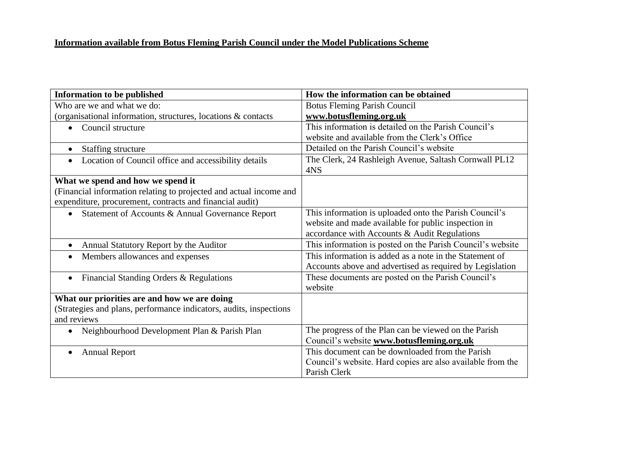| <b>Information to be published</b>                                 | How the information can be obtained                          |
|--------------------------------------------------------------------|--------------------------------------------------------------|
| Who are we and what we do:                                         | <b>Botus Fleming Parish Council</b>                          |
| (organisational information, structures, locations & contacts      | www.botusfleming.org.uk                                      |
| Council structure<br>$\bullet$                                     | This information is detailed on the Parish Council's         |
|                                                                    | website and available from the Clerk's Office                |
| Staffing structure<br>$\bullet$                                    | Detailed on the Parish Council's website                     |
| Location of Council office and accessibility details<br>$\bullet$  | The Clerk, 24 Rashleigh Avenue, Saltash Cornwall PL12<br>4NS |
| What we spend and how we spend it                                  |                                                              |
| (Financial information relating to projected and actual income and |                                                              |
| expenditure, procurement, contracts and financial audit)           |                                                              |
| Statement of Accounts & Annual Governance Report<br>$\bullet$      | This information is uploaded onto the Parish Council's       |
|                                                                    | website and made available for public inspection in          |
|                                                                    | accordance with Accounts & Audit Regulations                 |
| Annual Statutory Report by the Auditor<br>$\bullet$                | This information is posted on the Parish Council's website   |
| Members allowances and expenses<br>$\bullet$                       | This information is added as a note in the Statement of      |
|                                                                    | Accounts above and advertised as required by Legislation     |
| Financial Standing Orders & Regulations<br>$\bullet$               | These documents are posted on the Parish Council's           |
|                                                                    | website                                                      |
| What our priorities are and how we are doing                       |                                                              |
| (Strategies and plans, performance indicators, audits, inspections |                                                              |
| and reviews                                                        |                                                              |
| Neighbourhood Development Plan & Parish Plan<br>$\bullet$          | The progress of the Plan can be viewed on the Parish         |
|                                                                    | Council's website www.botusfleming.org.uk                    |
| <b>Annual Report</b><br>$\bullet$                                  | This document can be downloaded from the Parish              |
|                                                                    | Council's website. Hard copies are also available from the   |
|                                                                    | Parish Clerk                                                 |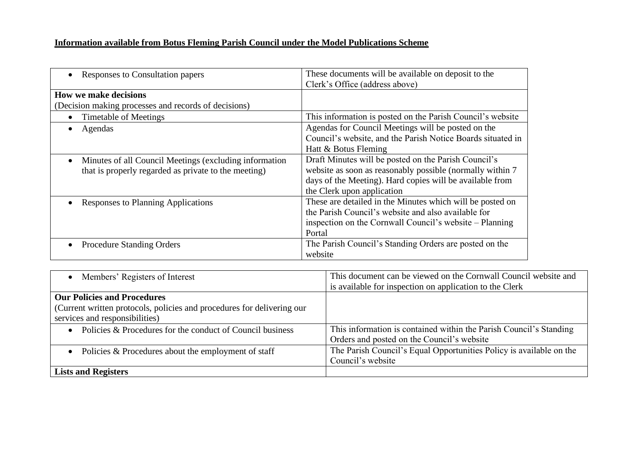| Responses to Consultation papers                                    | These documents will be available on deposit to the<br>Clerk's Office (address above) |
|---------------------------------------------------------------------|---------------------------------------------------------------------------------------|
| <b>How we make decisions</b>                                        |                                                                                       |
| (Decision making processes and records of decisions)                |                                                                                       |
| Timetable of Meetings                                               | This information is posted on the Parish Council's website                            |
| Agendas                                                             | Agendas for Council Meetings will be posted on the                                    |
|                                                                     | Council's website, and the Parish Notice Boards situated in                           |
|                                                                     | Hatt & Botus Fleming                                                                  |
| Minutes of all Council Meetings (excluding information<br>$\bullet$ | Draft Minutes will be posted on the Parish Council's                                  |
| that is properly regarded as private to the meeting)                | website as soon as reasonably possible (normally within 7                             |
|                                                                     | days of the Meeting). Hard copies will be available from                              |
|                                                                     | the Clerk upon application                                                            |
| Responses to Planning Applications                                  | These are detailed in the Minutes which will be posted on                             |
|                                                                     | the Parish Council's website and also available for                                   |
|                                                                     | inspection on the Cornwall Council's website – Planning                               |
|                                                                     | Portal                                                                                |
| <b>Procedure Standing Orders</b>                                    | The Parish Council's Standing Orders are posted on the                                |
|                                                                     | website                                                                               |

| • Members' Registers of Interest                                       | This document can be viewed on the Cornwall Council website and     |
|------------------------------------------------------------------------|---------------------------------------------------------------------|
|                                                                        | is available for inspection on application to the Clerk             |
| <b>Our Policies and Procedures</b>                                     |                                                                     |
| (Current written protocols, policies and procedures for delivering our |                                                                     |
| services and responsibilities)                                         |                                                                     |
| • Policies $&$ Procedures for the conduct of Council business          | This information is contained within the Parish Council's Standing  |
|                                                                        | Orders and posted on the Council's website                          |
| • Policies $&$ Procedures about the employment of staff                | The Parish Council's Equal Opportunities Policy is available on the |
|                                                                        | Council's website                                                   |
| <b>Lists and Registers</b>                                             |                                                                     |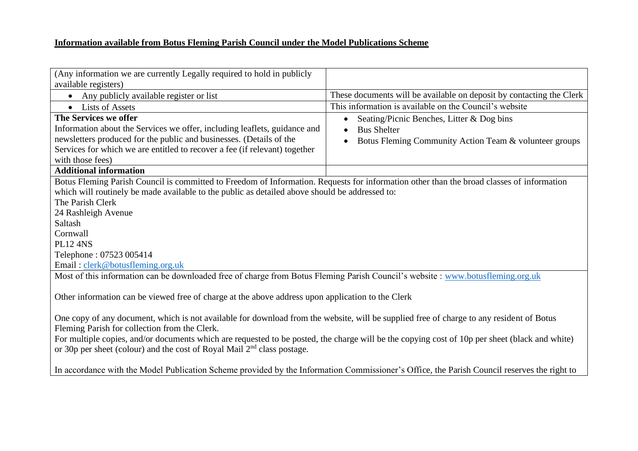| (Any information we are currently Legally required to hold in publicly                                                                                                                                                                                                                                                                                                                                                             |                                                                                                                                        |  |
|------------------------------------------------------------------------------------------------------------------------------------------------------------------------------------------------------------------------------------------------------------------------------------------------------------------------------------------------------------------------------------------------------------------------------------|----------------------------------------------------------------------------------------------------------------------------------------|--|
| available registers)                                                                                                                                                                                                                                                                                                                                                                                                               |                                                                                                                                        |  |
| Any publicly available register or list                                                                                                                                                                                                                                                                                                                                                                                            | These documents will be available on deposit by contacting the Clerk                                                                   |  |
| • Lists of Assets                                                                                                                                                                                                                                                                                                                                                                                                                  | This information is available on the Council's website                                                                                 |  |
| The Services we offer<br>Information about the Services we offer, including leaflets, guidance and<br>newsletters produced for the public and businesses. (Details of the<br>Services for which we are entitled to recover a fee (if relevant) together<br>with those fees)                                                                                                                                                        | Seating/Picnic Benches, Litter & Dog bins<br>$\bullet$<br><b>Bus Shelter</b><br>Botus Fleming Community Action Team & volunteer groups |  |
| <b>Additional information</b>                                                                                                                                                                                                                                                                                                                                                                                                      |                                                                                                                                        |  |
| Botus Fleming Parish Council is committed to Freedom of Information. Requests for information other than the broad classes of information<br>which will routinely be made available to the public as detailed above should be addressed to:<br>The Parish Clerk<br>24 Rashleigh Avenue<br>Saltash<br>Cornwall<br><b>PL12 4NS</b><br>Telephone: 07523 005414<br>Email: clerk@botusfleming.org.uk                                    |                                                                                                                                        |  |
| Most of this information can be downloaded free of charge from Botus Fleming Parish Council's website: www.botusfleming.org.uk                                                                                                                                                                                                                                                                                                     |                                                                                                                                        |  |
| Other information can be viewed free of charge at the above address upon application to the Clerk                                                                                                                                                                                                                                                                                                                                  |                                                                                                                                        |  |
| One copy of any document, which is not available for download from the website, will be supplied free of charge to any resident of Botus<br>Fleming Parish for collection from the Clerk.<br>For multiple copies, and/or documents which are requested to be posted, the charge will be the copying cost of 10p per sheet (black and white)<br>or 30p per sheet (colour) and the cost of Royal Mail 2 <sup>nd</sup> class postage. |                                                                                                                                        |  |
| In accordance with the Model Publication Scheme provided by the Information Commissioner's Office, the Parish Council reserves the right to                                                                                                                                                                                                                                                                                        |                                                                                                                                        |  |